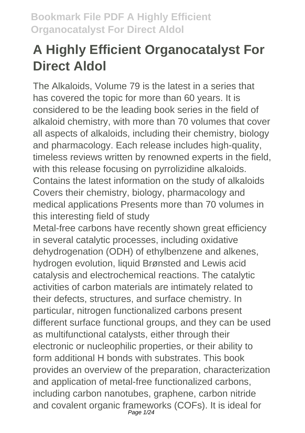# **A Highly Efficient Organocatalyst For Direct Aldol**

The Alkaloids, Volume 79 is the latest in a series that has covered the topic for more than 60 years. It is considered to be the leading book series in the field of alkaloid chemistry, with more than 70 volumes that cover all aspects of alkaloids, including their chemistry, biology and pharmacology. Each release includes high-quality, timeless reviews written by renowned experts in the field, with this release focusing on pyrrolizidine alkaloids. Contains the latest information on the study of alkaloids Covers their chemistry, biology, pharmacology and medical applications Presents more than 70 volumes in this interesting field of study

Metal-free carbons have recently shown great efficiency in several catalytic processes, including oxidative dehydrogenation (ODH) of ethylbenzene and alkenes, hydrogen evolution, liquid Brønsted and Lewis acid catalysis and electrochemical reactions. The catalytic activities of carbon materials are intimately related to their defects, structures, and surface chemistry. In particular, nitrogen functionalized carbons present different surface functional groups, and they can be used as multifunctional catalysts, either through their electronic or nucleophilic properties, or their ability to form additional H bonds with substrates. This book provides an overview of the preparation, characterization and application of metal-free functionalized carbons, including carbon nanotubes, graphene, carbon nitride and covalent organic frameworks (COFs). It is ideal for<br><sup>Page 1/24</sup>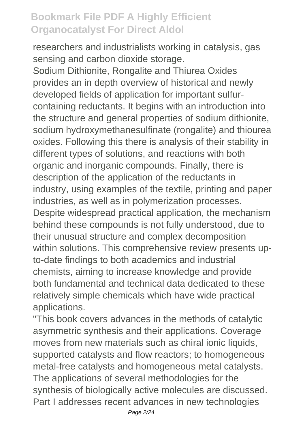researchers and industrialists working in catalysis, gas sensing and carbon dioxide storage.

Sodium Dithionite, Rongalite and Thiurea Oxides provides an in depth overview of historical and newly developed fields of application for important sulfurcontaining reductants. It begins with an introduction into the structure and general properties of sodium dithionite, sodium hydroxymethanesulfinate (rongalite) and thiourea oxides. Following this there is analysis of their stability in different types of solutions, and reactions with both organic and inorganic compounds. Finally, there is description of the application of the reductants in industry, using examples of the textile, printing and paper industries, as well as in polymerization processes. Despite widespread practical application, the mechanism behind these compounds is not fully understood, due to their unusual structure and complex decomposition within solutions. This comprehensive review presents upto-date findings to both academics and industrial chemists, aiming to increase knowledge and provide both fundamental and technical data dedicated to these relatively simple chemicals which have wide practical applications.

"This book covers advances in the methods of catalytic asymmetric synthesis and their applications. Coverage moves from new materials such as chiral ionic liquids, supported catalysts and flow reactors; to homogeneous metal-free catalysts and homogeneous metal catalysts. The applications of several methodologies for the synthesis of biologically active molecules are discussed. Part I addresses recent advances in new technologies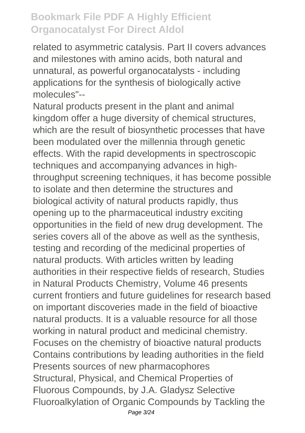related to asymmetric catalysis. Part II covers advances and milestones with amino acids, both natural and unnatural, as powerful organocatalysts - including applications for the synthesis of biologically active molecules"--

Natural products present in the plant and animal kingdom offer a huge diversity of chemical structures, which are the result of biosynthetic processes that have been modulated over the millennia through genetic effects. With the rapid developments in spectroscopic techniques and accompanying advances in highthroughput screening techniques, it has become possible to isolate and then determine the structures and biological activity of natural products rapidly, thus opening up to the pharmaceutical industry exciting opportunities in the field of new drug development. The series covers all of the above as well as the synthesis, testing and recording of the medicinal properties of natural products. With articles written by leading authorities in their respective fields of research, Studies in Natural Products Chemistry, Volume 46 presents current frontiers and future guidelines for research based on important discoveries made in the field of bioactive natural products. It is a valuable resource for all those working in natural product and medicinal chemistry. Focuses on the chemistry of bioactive natural products Contains contributions by leading authorities in the field Presents sources of new pharmacophores Structural, Physical, and Chemical Properties of Fluorous Compounds, by J.A. Gladysz Selective Fluoroalkylation of Organic Compounds by Tackling the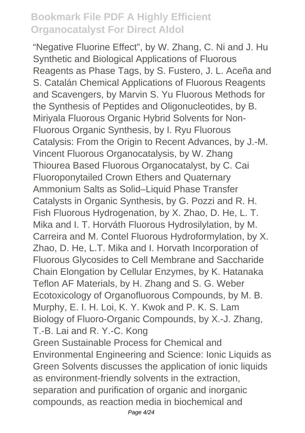"Negative Fluorine Effect", by W. Zhang, C. Ni and J. Hu Synthetic and Biological Applications of Fluorous Reagents as Phase Tags, by S. Fustero, J. L. Aceña and S. Catalán Chemical Applications of Fluorous Reagents and Scavengers, by Marvin S. Yu Fluorous Methods for the Synthesis of Peptides and Oligonucleotides, by B. Miriyala Fluorous Organic Hybrid Solvents for Non-Fluorous Organic Synthesis, by I. Ryu Fluorous Catalysis: From the Origin to Recent Advances, by J.-M. Vincent Fluorous Organocatalysis, by W. Zhang Thiourea Based Fluorous Organocatalyst, by C. Cai Fluoroponytailed Crown Ethers and Quaternary Ammonium Salts as Solid–Liquid Phase Transfer Catalysts in Organic Synthesis, by G. Pozzi and R. H. Fish Fluorous Hydrogenation, by X. Zhao, D. He, L. T. Mika and I. T. Horváth Fluorous Hydrosilylation, by M. Carreira and M. Contel Fluorous Hydroformylation, by X. Zhao, D. He, L.T. Mika and I. Horvath Incorporation of Fluorous Glycosides to Cell Membrane and Saccharide Chain Elongation by Cellular Enzymes, by K. Hatanaka Teflon AF Materials, by H. Zhang and S. G. Weber Ecotoxicology of Organofluorous Compounds, by M. B. Murphy, E. I. H. Loi, K. Y. Kwok and P. K. S. Lam Biology of Fluoro-Organic Compounds, by X.-J. Zhang, T.-B. Lai and R. Y.-C. Kong

Green Sustainable Process for Chemical and Environmental Engineering and Science: Ionic Liquids as Green Solvents discusses the application of ionic liquids as environment-friendly solvents in the extraction, separation and purification of organic and inorganic compounds, as reaction media in biochemical and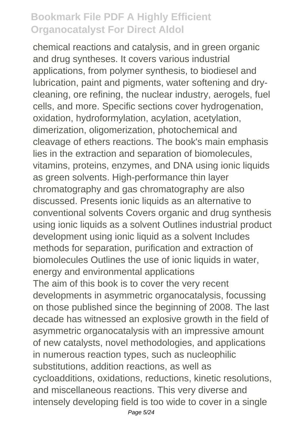chemical reactions and catalysis, and in green organic and drug syntheses. It covers various industrial applications, from polymer synthesis, to biodiesel and lubrication, paint and pigments, water softening and drycleaning, ore refining, the nuclear industry, aerogels, fuel cells, and more. Specific sections cover hydrogenation, oxidation, hydroformylation, acylation, acetylation, dimerization, oligomerization, photochemical and cleavage of ethers reactions. The book's main emphasis lies in the extraction and separation of biomolecules, vitamins, proteins, enzymes, and DNA using ionic liquids as green solvents. High-performance thin layer chromatography and gas chromatography are also discussed. Presents ionic liquids as an alternative to conventional solvents Covers organic and drug synthesis using ionic liquids as a solvent Outlines industrial product development using ionic liquid as a solvent Includes methods for separation, purification and extraction of biomolecules Outlines the use of ionic liquids in water, energy and environmental applications The aim of this book is to cover the very recent developments in asymmetric organocatalysis, focussing on those published since the beginning of 2008. The last decade has witnessed an explosive growth in the field of asymmetric organocatalysis with an impressive amount of new catalysts, novel methodologies, and applications in numerous reaction types, such as nucleophilic substitutions, addition reactions, as well as cycloadditions, oxidations, reductions, kinetic resolutions, and miscellaneous reactions. This very diverse and intensely developing field is too wide to cover in a single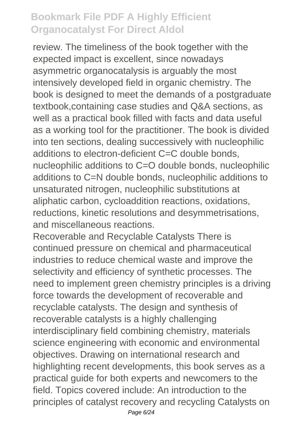review. The timeliness of the book together with the expected impact is excellent, since nowadays asymmetric organocatalysis is arguably the most intensively developed field in organic chemistry. The book is designed to meet the demands of a postgraduate textbook,containing case studies and Q&A sections, as well as a practical book filled with facts and data useful as a working tool for the practitioner. The book is divided into ten sections, dealing successively with nucleophilic additions to electron-deficient C=C double bonds, nucleophilic additions to C=O double bonds, nucleophilic additions to C=N double bonds, nucleophilic additions to unsaturated nitrogen, nucleophilic substitutions at aliphatic carbon, cycloaddition reactions, oxidations, reductions, kinetic resolutions and desymmetrisations, and miscellaneous reactions.

Recoverable and Recyclable Catalysts There is continued pressure on chemical and pharmaceutical industries to reduce chemical waste and improve the selectivity and efficiency of synthetic processes. The need to implement green chemistry principles is a driving force towards the development of recoverable and recyclable catalysts. The design and synthesis of recoverable catalysts is a highly challenging interdisciplinary field combining chemistry, materials science engineering with economic and environmental objectives. Drawing on international research and highlighting recent developments, this book serves as a practical guide for both experts and newcomers to the field. Topics covered include: An introduction to the principles of catalyst recovery and recycling Catalysts on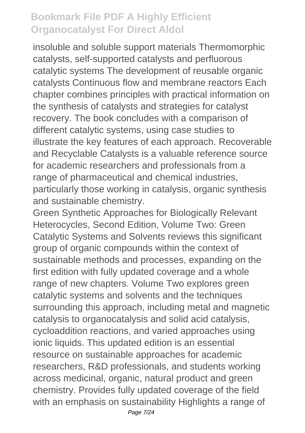insoluble and soluble support materials Thermomorphic catalysts, self-supported catalysts and perfluorous catalytic systems The development of reusable organic catalysts Continuous flow and membrane reactors Each chapter combines principles with practical information on the synthesis of catalysts and strategies for catalyst recovery. The book concludes with a comparison of different catalytic systems, using case studies to illustrate the key features of each approach. Recoverable and Recyclable Catalysts is a valuable reference source for academic researchers and professionals from a range of pharmaceutical and chemical industries, particularly those working in catalysis, organic synthesis and sustainable chemistry.

Green Synthetic Approaches for Biologically Relevant Heterocycles, Second Edition, Volume Two: Green Catalytic Systems and Solvents reviews this significant group of organic compounds within the context of sustainable methods and processes, expanding on the first edition with fully updated coverage and a whole range of new chapters. Volume Two explores green catalytic systems and solvents and the techniques surrounding this approach, including metal and magnetic catalysis to organocatalysis and solid acid catalysis, cycloaddition reactions, and varied approaches using ionic liquids. This updated edition is an essential resource on sustainable approaches for academic researchers, R&D professionals, and students working across medicinal, organic, natural product and green chemistry. Provides fully updated coverage of the field with an emphasis on sustainability Highlights a range of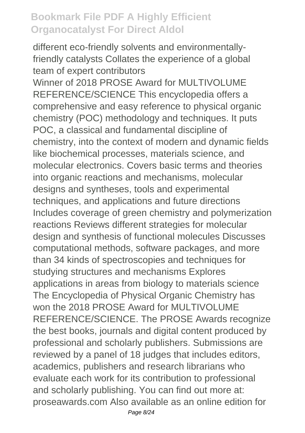different eco-friendly solvents and environmentallyfriendly catalysts Collates the experience of a global team of expert contributors

Winner of 2018 PROSE Award for MULTIVOLUME REFERENCE/SCIENCE This encyclopedia offers a comprehensive and easy reference to physical organic chemistry (POC) methodology and techniques. It puts POC, a classical and fundamental discipline of chemistry, into the context of modern and dynamic fields like biochemical processes, materials science, and molecular electronics. Covers basic terms and theories into organic reactions and mechanisms, molecular designs and syntheses, tools and experimental techniques, and applications and future directions Includes coverage of green chemistry and polymerization reactions Reviews different strategies for molecular design and synthesis of functional molecules Discusses computational methods, software packages, and more than 34 kinds of spectroscopies and techniques for studying structures and mechanisms Explores applications in areas from biology to materials science The Encyclopedia of Physical Organic Chemistry has won the 2018 PROSE Award for MULTIVOLUME REFERENCE/SCIENCE. The PROSE Awards recognize the best books, journals and digital content produced by professional and scholarly publishers. Submissions are reviewed by a panel of 18 judges that includes editors, academics, publishers and research librarians who evaluate each work for its contribution to professional and scholarly publishing. You can find out more at: proseawards.com Also available as an online edition for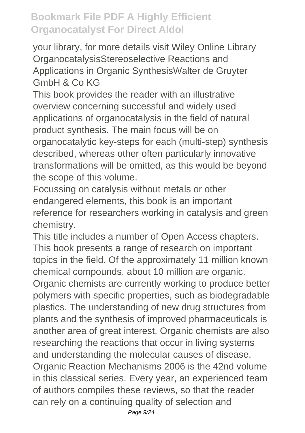your library, for more details visit Wiley Online Library OrganocatalysisStereoselective Reactions and Applications in Organic SynthesisWalter de Gruyter GmbH & Co KG

This book provides the reader with an illustrative overview concerning successful and widely used applications of organocatalysis in the field of natural product synthesis. The main focus will be on organocatalytic key-steps for each (multi-step) synthesis described, whereas other often particularly innovative transformations will be omitted, as this would be beyond the scope of this volume.

Focussing on catalysis without metals or other endangered elements, this book is an important reference for researchers working in catalysis and green chemistry.

This title includes a number of Open Access chapters. This book presents a range of research on important topics in the field. Of the approximately 11 million known chemical compounds, about 10 million are organic.

Organic chemists are currently working to produce better polymers with specific properties, such as biodegradable plastics. The understanding of new drug structures from plants and the synthesis of improved pharmaceuticals is another area of great interest. Organic chemists are also researching the reactions that occur in living systems and understanding the molecular causes of disease. Organic Reaction Mechanisms 2006 is the 42nd volume in this classical series. Every year, an experienced team of authors compiles these reviews, so that the reader can rely on a continuing quality of selection and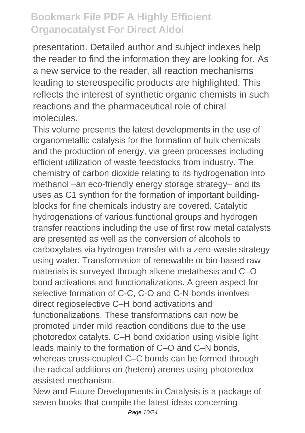presentation. Detailed author and subject indexes help the reader to find the information they are looking for. As a new service to the reader, all reaction mechanisms leading to stereospecific products are highlighted. This reflects the interest of synthetic organic chemists in such reactions and the pharmaceutical role of chiral molecules.

This volume presents the latest developments in the use of organometallic catalysis for the formation of bulk chemicals and the production of energy, via green processes including efficient utilization of waste feedstocks from industry. The chemistry of carbon dioxide relating to its hydrogenation into methanol –an eco-friendly energy storage strategy– and its uses as C1 synthon for the formation of important buildingblocks for fine chemicals industry are covered. Catalytic hydrogenations of various functional groups and hydrogen transfer reactions including the use of first row metal catalysts are presented as well as the conversion of alcohols to carboxylates via hydrogen transfer with a zero-waste strategy using water. Transformation of renewable or bio-based raw materials is surveyed through alkene metathesis and C–O bond activations and functionalizations. A green aspect for selective formation of C-C, C-O and C-N bonds involves direct regioselective C–H bond activations and functionalizations. These transformations can now be promoted under mild reaction conditions due to the use photoredox catalyts. C–H bond oxidation using visible light leads mainly to the formation of C–O and C–N bonds, whereas cross-coupled C–C bonds can be formed through the radical additions on (hetero) arenes using photoredox assisted mechanism.

New and Future Developments in Catalysis is a package of seven books that compile the latest ideas concerning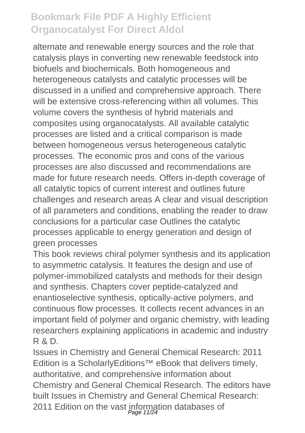alternate and renewable energy sources and the role that catalysis plays in converting new renewable feedstock into biofuels and biochemicals. Both homogeneous and heterogeneous catalysts and catalytic processes will be discussed in a unified and comprehensive approach. There will be extensive cross-referencing within all volumes. This volume covers the synthesis of hybrid materials and composites using organocatalysts. All available catalytic processes are listed and a critical comparison is made between homogeneous versus heterogeneous catalytic processes. The economic pros and cons of the various processes are also discussed and recommendations are made for future research needs. Offers in-depth coverage of all catalytic topics of current interest and outlines future challenges and research areas A clear and visual description of all parameters and conditions, enabling the reader to draw conclusions for a particular case Outlines the catalytic processes applicable to energy generation and design of green processes

This book reviews chiral polymer synthesis and its application to asymmetric catalysis. It features the design and use of polymer-immobilized catalysts and methods for their design and synthesis. Chapters cover peptide-catalyzed and enantioselective synthesis, optically-active polymers, and continuous flow processes. It collects recent advances in an important field of polymer and organic chemistry, with leading researchers explaining applications in academic and industry R & D.

Issues in Chemistry and General Chemical Research: 2011 Edition is a ScholarlyEditions™ eBook that delivers timely, authoritative, and comprehensive information about Chemistry and General Chemical Research. The editors have built Issues in Chemistry and General Chemical Research: 2011 Edition on the vast information databases of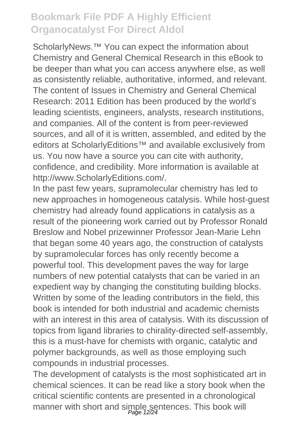ScholarlyNews.<sup>™</sup> You can expect the information about Chemistry and General Chemical Research in this eBook to be deeper than what you can access anywhere else, as well as consistently reliable, authoritative, informed, and relevant. The content of Issues in Chemistry and General Chemical Research: 2011 Edition has been produced by the world's leading scientists, engineers, analysts, research institutions, and companies. All of the content is from peer-reviewed sources, and all of it is written, assembled, and edited by the editors at ScholarlyEditions<sup>™</sup> and available exclusively from us. You now have a source you can cite with authority, confidence, and credibility. More information is available at http://www.ScholarlyEditions.com/.

In the past few years, supramolecular chemistry has led to new approaches in homogeneous catalysis. While host-guest chemistry had already found applications in catalysis as a result of the pioneering work carried out by Professor Ronald Breslow and Nobel prizewinner Professor Jean-Marie Lehn that began some 40 years ago, the construction of catalysts by supramolecular forces has only recently become a powerful tool. This development paves the way for large numbers of new potential catalysts that can be varied in an expedient way by changing the constituting building blocks. Written by some of the leading contributors in the field, this book is intended for both industrial and academic chemists with an interest in this area of catalysis. With its discussion of topics from ligand libraries to chirality-directed self-assembly, this is a must-have for chemists with organic, catalytic and polymer backgrounds, as well as those employing such compounds in industrial processes.

The development of catalysts is the most sophisticated art in chemical sciences. It can be read like a story book when the critical scientific contents are presented in a chronological manner with short and simple sentences. This book will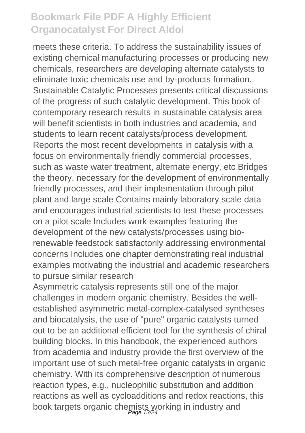meets these criteria. To address the sustainability issues of existing chemical manufacturing processes or producing new chemicals, researchers are developing alternate catalysts to eliminate toxic chemicals use and by-products formation. Sustainable Catalytic Processes presents critical discussions of the progress of such catalytic development. This book of contemporary research results in sustainable catalysis area will benefit scientists in both industries and academia, and students to learn recent catalysts/process development. Reports the most recent developments in catalysis with a focus on environmentally friendly commercial processes, such as waste water treatment, alternate energy, etc Bridges the theory, necessary for the development of environmentally friendly processes, and their implementation through pilot plant and large scale Contains mainly laboratory scale data and encourages industrial scientists to test these processes on a pilot scale Includes work examples featuring the development of the new catalysts/processes using biorenewable feedstock satisfactorily addressing environmental concerns Includes one chapter demonstrating real industrial examples motivating the industrial and academic researchers to pursue similar research

Asymmetric catalysis represents still one of the major challenges in modern organic chemistry. Besides the wellestablished asymmetric metal-complex-catalysed syntheses and biocatalysis, the use of "pure" organic catalysts turned out to be an additional efficient tool for the synthesis of chiral building blocks. In this handbook, the experienced authors from academia and industry provide the first overview of the important use of such metal-free organic catalysts in organic chemistry. With its comprehensive description of numerous reaction types, e.g., nucleophilic substitution and addition reactions as well as cycloadditions and redox reactions, this book targets organic chemists working in industry and<br>Page 13/24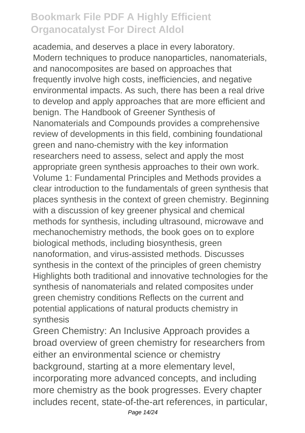academia, and deserves a place in every laboratory. Modern techniques to produce nanoparticles, nanomaterials, and nanocomposites are based on approaches that frequently involve high costs, inefficiencies, and negative environmental impacts. As such, there has been a real drive to develop and apply approaches that are more efficient and benign. The Handbook of Greener Synthesis of Nanomaterials and Compounds provides a comprehensive review of developments in this field, combining foundational green and nano-chemistry with the key information researchers need to assess, select and apply the most appropriate green synthesis approaches to their own work. Volume 1: Fundamental Principles and Methods provides a clear introduction to the fundamentals of green synthesis that places synthesis in the context of green chemistry. Beginning with a discussion of key greener physical and chemical methods for synthesis, including ultrasound, microwave and mechanochemistry methods, the book goes on to explore biological methods, including biosynthesis, green nanoformation, and virus-assisted methods. Discusses synthesis in the context of the principles of green chemistry Highlights both traditional and innovative technologies for the synthesis of nanomaterials and related composites under green chemistry conditions Reflects on the current and potential applications of natural products chemistry in synthesis

Green Chemistry: An Inclusive Approach provides a broad overview of green chemistry for researchers from either an environmental science or chemistry background, starting at a more elementary level, incorporating more advanced concepts, and including more chemistry as the book progresses. Every chapter includes recent, state-of-the-art references, in particular,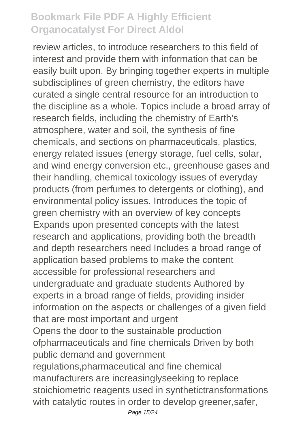review articles, to introduce researchers to this field of interest and provide them with information that can be easily built upon. By bringing together experts in multiple subdisciplines of green chemistry, the editors have curated a single central resource for an introduction to the discipline as a whole. Topics include a broad array of research fields, including the chemistry of Earth's atmosphere, water and soil, the synthesis of fine chemicals, and sections on pharmaceuticals, plastics, energy related issues (energy storage, fuel cells, solar, and wind energy conversion etc., greenhouse gases and their handling, chemical toxicology issues of everyday products (from perfumes to detergents or clothing), and environmental policy issues. Introduces the topic of green chemistry with an overview of key concepts Expands upon presented concepts with the latest research and applications, providing both the breadth and depth researchers need Includes a broad range of application based problems to make the content accessible for professional researchers and undergraduate and graduate students Authored by experts in a broad range of fields, providing insider information on the aspects or challenges of a given field that are most important and urgent Opens the door to the sustainable production ofpharmaceuticals and fine chemicals Driven by both public demand and government regulations,pharmaceutical and fine chemical manufacturers are increasinglyseeking to replace stoichiometric reagents used in synthetictransformations with catalytic routes in order to develop greener,safer,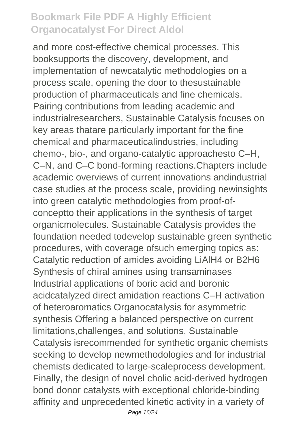and more cost-effective chemical processes. This booksupports the discovery, development, and implementation of newcatalytic methodologies on a process scale, opening the door to thesustainable production of pharmaceuticals and fine chemicals. Pairing contributions from leading academic and industrialresearchers, Sustainable Catalysis focuses on key areas thatare particularly important for the fine chemical and pharmaceuticalindustries, including chemo-, bio-, and organo-catalytic approachesto C–H, C–N, and C–C bond-forming reactions.Chapters include academic overviews of current innovations andindustrial case studies at the process scale, providing newinsights into green catalytic methodologies from proof-ofconceptto their applications in the synthesis of target organicmolecules. Sustainable Catalysis provides the foundation needed todevelop sustainable green synthetic procedures, with coverage ofsuch emerging topics as: Catalytic reduction of amides avoiding LiAlH4 or B2H6 Synthesis of chiral amines using transaminases Industrial applications of boric acid and boronic acidcatalyzed direct amidation reactions C–H activation of heteroaromatics Organocatalysis for asymmetric synthesis Offering a balanced perspective on current limitations,challenges, and solutions, Sustainable Catalysis isrecommended for synthetic organic chemists seeking to develop newmethodologies and for industrial chemists dedicated to large-scaleprocess development. Finally, the design of novel cholic acid-derived hydrogen bond donor catalysts with exceptional chloride-binding affinity and unprecedented kinetic activity in a variety of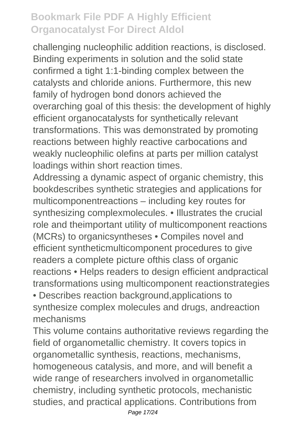challenging nucleophilic addition reactions, is disclosed. Binding experiments in solution and the solid state confirmed a tight 1:1-binding complex between the catalysts and chloride anions. Furthermore, this new family of hydrogen bond donors achieved the overarching goal of this thesis: the development of highly efficient organocatalysts for synthetically relevant transformations. This was demonstrated by promoting reactions between highly reactive carbocations and weakly nucleophilic olefins at parts per million catalyst loadings within short reaction times.

Addressing a dynamic aspect of organic chemistry, this bookdescribes synthetic strategies and applications for multicomponentreactions – including key routes for synthesizing complexmolecules. • Illustrates the crucial role and theimportant utility of multicomponent reactions (MCRs) to organicsyntheses • Compiles novel and efficient syntheticmulticomponent procedures to give readers a complete picture ofthis class of organic reactions • Helps readers to design efficient andpractical transformations using multicomponent reactionstrategies

• Describes reaction background,applications to synthesize complex molecules and drugs, andreaction mechanisms

This volume contains authoritative reviews regarding the field of organometallic chemistry. It covers topics in organometallic synthesis, reactions, mechanisms, homogeneous catalysis, and more, and will benefit a wide range of researchers involved in organometallic chemistry, including synthetic protocols, mechanistic studies, and practical applications. Contributions from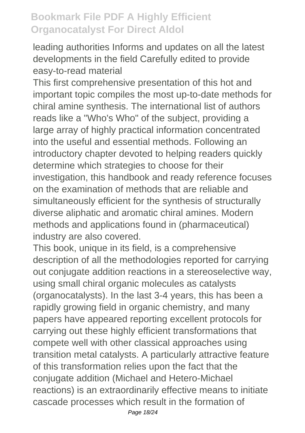leading authorities Informs and updates on all the latest developments in the field Carefully edited to provide easy-to-read material

This first comprehensive presentation of this hot and important topic compiles the most up-to-date methods for chiral amine synthesis. The international list of authors reads like a "Who's Who" of the subject, providing a large array of highly practical information concentrated into the useful and essential methods. Following an introductory chapter devoted to helping readers quickly determine which strategies to choose for their investigation, this handbook and ready reference focuses on the examination of methods that are reliable and simultaneously efficient for the synthesis of structurally diverse aliphatic and aromatic chiral amines. Modern methods and applications found in (pharmaceutical) industry are also covered.

This book, unique in its field, is a comprehensive description of all the methodologies reported for carrying out conjugate addition reactions in a stereoselective way, using small chiral organic molecules as catalysts (organocatalysts). In the last 3-4 years, this has been a rapidly growing field in organic chemistry, and many papers have appeared reporting excellent protocols for carrying out these highly efficient transformations that compete well with other classical approaches using transition metal catalysts. A particularly attractive feature of this transformation relies upon the fact that the conjugate addition (Michael and Hetero-Michael reactions) is an extraordinarily effective means to initiate cascade processes which result in the formation of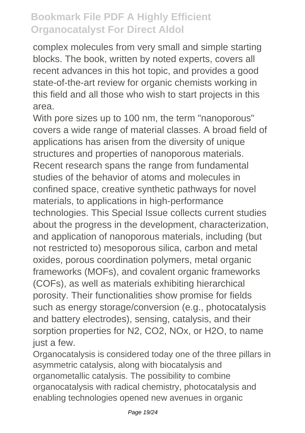complex molecules from very small and simple starting blocks. The book, written by noted experts, covers all recent advances in this hot topic, and provides a good state-of-the-art review for organic chemists working in this field and all those who wish to start projects in this area.

With pore sizes up to 100 nm, the term "nanoporous" covers a wide range of material classes. A broad field of applications has arisen from the diversity of unique structures and properties of nanoporous materials. Recent research spans the range from fundamental studies of the behavior of atoms and molecules in confined space, creative synthetic pathways for novel materials, to applications in high-performance technologies. This Special Issue collects current studies about the progress in the development, characterization, and application of nanoporous materials, including (but not restricted to) mesoporous silica, carbon and metal oxides, porous coordination polymers, metal organic frameworks (MOFs), and covalent organic frameworks (COFs), as well as materials exhibiting hierarchical porosity. Their functionalities show promise for fields such as energy storage/conversion (e.g., photocatalysis and battery electrodes), sensing, catalysis, and their sorption properties for N2, CO2, NOx, or H2O, to name just a few.

Organocatalysis is considered today one of the three pillars in asymmetric catalysis, along with biocatalysis and organometallic catalysis. The possibility to combine organocatalysis with radical chemistry, photocatalysis and enabling technologies opened new avenues in organic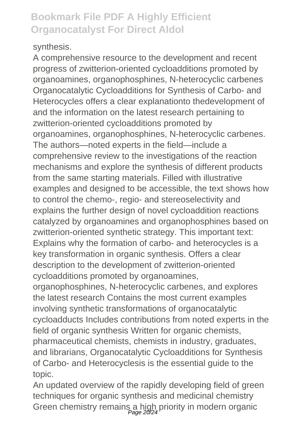#### synthesis.

A comprehensive resource to the development and recent progress of zwitterion-oriented cycloadditions promoted by organoamines, organophosphines, N-heterocyclic carbenes Organocatalytic Cycloadditions for Synthesis of Carbo- and Heterocycles offers a clear explanationto thedevelopment of and the information on the latest research pertaining to zwitterion-oriented cycloadditions promoted by organoamines, organophosphines, N-heterocyclic carbenes. The authors—noted experts in the field—include a comprehensive review to the investigations of the reaction mechanisms and explore the synthesis of different products from the same starting materials. Filled with illustrative examples and designed to be accessible, the text shows how to control the chemo-, regio- and stereoselectivity and explains the further design of novel cycloaddition reactions catalyzed by organoamines and organophosphines based on zwitterion-oriented synthetic strategy. This important text: Explains why the formation of carbo- and heterocycles is a key transformation in organic synthesis. Offers a clear description to the development of zwitterion-oriented cycloadditions promoted by organoamines, organophosphines, N-heterocyclic carbenes, and explores the latest research Contains the most current examples involving synthetic transformations of organocatalytic

cycloadducts Includes contributions from noted experts in the field of organic synthesis Written for organic chemists, pharmaceutical chemists, chemists in industry, graduates, and librarians, Organocatalytic Cycloadditions for Synthesis of Carbo- and Heterocyclesis is the essential guide to the topic.

An updated overview of the rapidly developing field of green techniques for organic synthesis and medicinal chemistry Green chemistry remains a high priority in modern organic<br>Page 20/24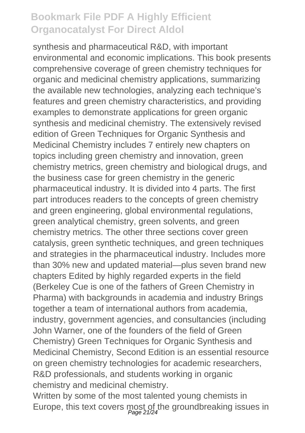synthesis and pharmaceutical R&D, with important environmental and economic implications. This book presents comprehensive coverage of green chemistry techniques for organic and medicinal chemistry applications, summarizing the available new technologies, analyzing each technique's features and green chemistry characteristics, and providing examples to demonstrate applications for green organic synthesis and medicinal chemistry. The extensively revised edition of Green Techniques for Organic Synthesis and Medicinal Chemistry includes 7 entirely new chapters on topics including green chemistry and innovation, green chemistry metrics, green chemistry and biological drugs, and the business case for green chemistry in the generic pharmaceutical industry. It is divided into 4 parts. The first part introduces readers to the concepts of green chemistry and green engineering, global environmental regulations, green analytical chemistry, green solvents, and green chemistry metrics. The other three sections cover green catalysis, green synthetic techniques, and green techniques and strategies in the pharmaceutical industry. Includes more than 30% new and updated material—plus seven brand new chapters Edited by highly regarded experts in the field (Berkeley Cue is one of the fathers of Green Chemistry in Pharma) with backgrounds in academia and industry Brings together a team of international authors from academia, industry, government agencies, and consultancies (including John Warner, one of the founders of the field of Green Chemistry) Green Techniques for Organic Synthesis and Medicinal Chemistry, Second Edition is an essential resource on green chemistry technologies for academic researchers, R&D professionals, and students working in organic chemistry and medicinal chemistry.

Written by some of the most talented young chemists in Europe, this text covers most of the groundbreaking issues in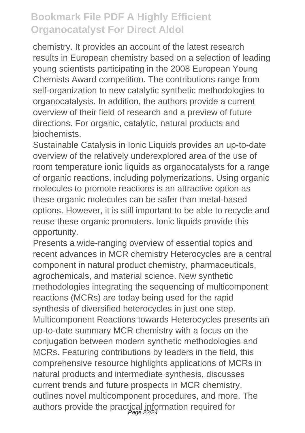chemistry. It provides an account of the latest research results in European chemistry based on a selection of leading young scientists participating in the 2008 European Young Chemists Award competition. The contributions range from self-organization to new catalytic synthetic methodologies to organocatalysis. In addition, the authors provide a current overview of their field of research and a preview of future directions. For organic, catalytic, natural products and biochemists.

Sustainable Catalysis in Ionic Liquids provides an up-to-date overview of the relatively underexplored area of the use of room temperature ionic liquids as organocatalysts for a range of organic reactions, including polymerizations. Using organic molecules to promote reactions is an attractive option as these organic molecules can be safer than metal-based options. However, it is still important to be able to recycle and reuse these organic promoters. Ionic liquids provide this opportunity.

Presents a wide-ranging overview of essential topics and recent advances in MCR chemistry Heterocycles are a central component in natural product chemistry, pharmaceuticals, agrochemicals, and material science. New synthetic methodologies integrating the sequencing of multicomponent reactions (MCRs) are today being used for the rapid synthesis of diversified heterocycles in just one step. Multicomponent Reactions towards Heterocycles presents an up-to-date summary MCR chemistry with a focus on the conjugation between modern synthetic methodologies and MCRs. Featuring contributions by leaders in the field, this comprehensive resource highlights applications of MCRs in natural products and intermediate synthesis, discusses current trends and future prospects in MCR chemistry, outlines novel multicomponent procedures, and more. The authors provide the practical information required for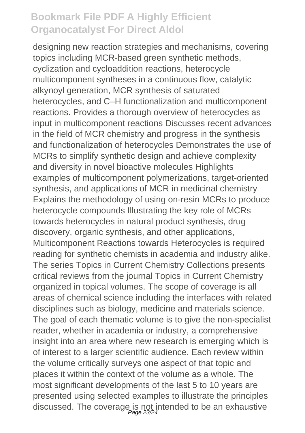designing new reaction strategies and mechanisms, covering topics including MCR-based green synthetic methods, cyclization and cycloaddition reactions, heterocycle multicomponent syntheses in a continuous flow, catalytic alkynoyl generation, MCR synthesis of saturated heterocycles, and C–H functionalization and multicomponent reactions. Provides a thorough overview of heterocycles as input in multicomponent reactions Discusses recent advances in the field of MCR chemistry and progress in the synthesis and functionalization of heterocycles Demonstrates the use of MCRs to simplify synthetic design and achieve complexity and diversity in novel bioactive molecules Highlights examples of multicomponent polymerizations, target-oriented synthesis, and applications of MCR in medicinal chemistry Explains the methodology of using on-resin MCRs to produce heterocycle compounds Illustrating the key role of MCRs towards heterocycles in natural product synthesis, drug discovery, organic synthesis, and other applications, Multicomponent Reactions towards Heterocycles is required reading for synthetic chemists in academia and industry alike. The series Topics in Current Chemistry Collections presents critical reviews from the journal Topics in Current Chemistry organized in topical volumes. The scope of coverage is all areas of chemical science including the interfaces with related disciplines such as biology, medicine and materials science. The goal of each thematic volume is to give the non-specialist reader, whether in academia or industry, a comprehensive insight into an area where new research is emerging which is of interest to a larger scientific audience. Each review within the volume critically surveys one aspect of that topic and places it within the context of the volume as a whole. The most significant developments of the last 5 to 10 years are presented using selected examples to illustrate the principles discussed. The coverage is not intended to be an exhaustive<br>
<sub>Page 23/24</sub>